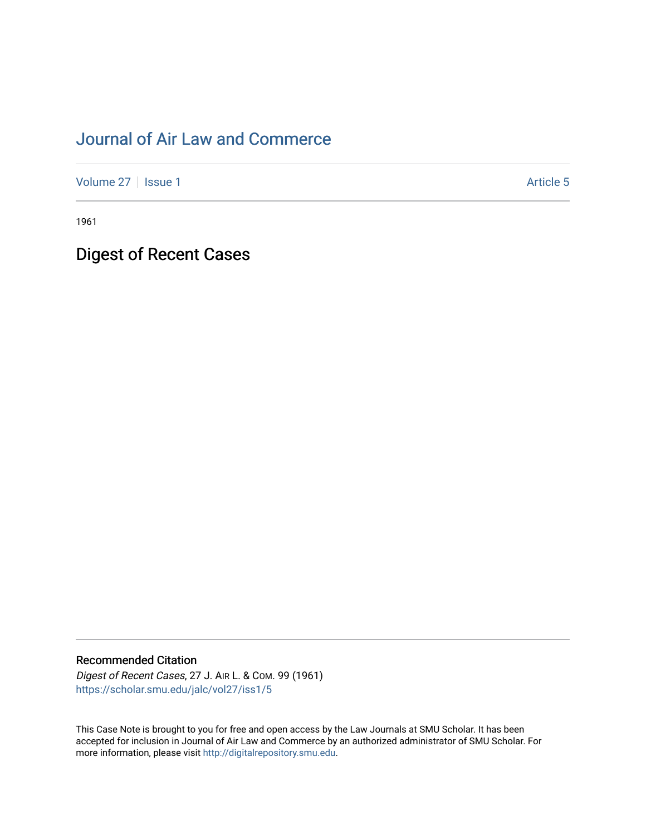# [Journal of Air Law and Commerce](https://scholar.smu.edu/jalc)

[Volume 27](https://scholar.smu.edu/jalc/vol27) | [Issue 1](https://scholar.smu.edu/jalc/vol27/iss1) Article 5

1961

Digest of Recent Cases

# Recommended Citation

Digest of Recent Cases, 27 J. AIR L. & COM. 99 (1961) [https://scholar.smu.edu/jalc/vol27/iss1/5](https://scholar.smu.edu/jalc/vol27/iss1/5?utm_source=scholar.smu.edu%2Fjalc%2Fvol27%2Fiss1%2F5&utm_medium=PDF&utm_campaign=PDFCoverPages) 

This Case Note is brought to you for free and open access by the Law Journals at SMU Scholar. It has been accepted for inclusion in Journal of Air Law and Commerce by an authorized administrator of SMU Scholar. For more information, please visit [http://digitalrepository.smu.edu](http://digitalrepository.smu.edu/).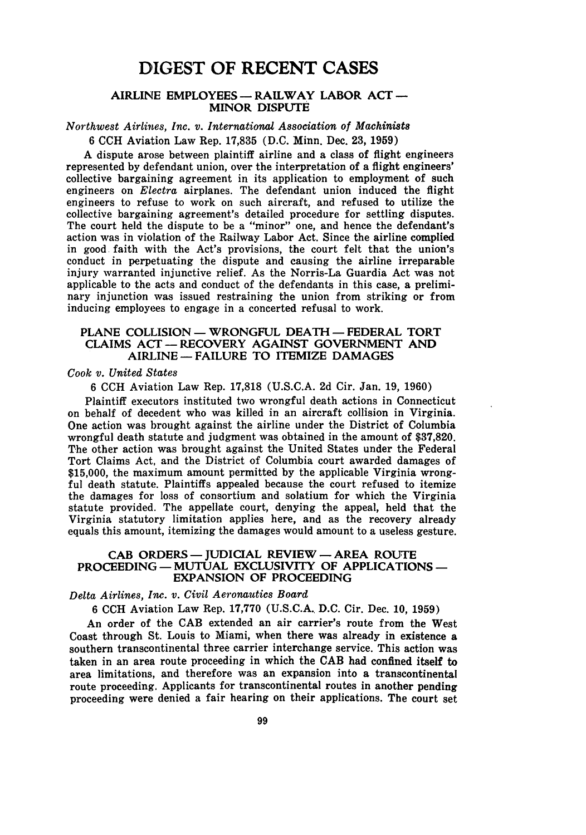# DIGEST OF **RECENT CASES**

# **AIRLINE EMPLOYEES -RAILWAY LABOR ACT -** MINOR **DISPUTE**

# *Northwest Airlines, Inc. v. International Association of Machinists*

6 CCH Aviation Law Rep. 17,835 (D.C. Minn. Dec. 23, 1959)

A dispute arose between plaintiff airline and a class of flight engineers represented by defendant union, over the interpretation of a flight engineers' collective bargaining agreement in its application to employment of such engineers on *Electra* airplanes. The defendant union induced the flight engineers to refuse to work on such aircraft, and refused to utilize the collective bargaining agreement's detailed procedure for settling disputes. The court held the dispute to be a "minor" one, and hence the defendant's action was in violation of the Railway Labor Act. Since the airline complied in good faith with the Act's provisions, the court felt that the union's conduct in perpetuating the dispute and causing the airline irreparable injury warranted injunctive relief. As the Norris-La Guardia Act was not applicable to the acts and conduct of the defendants in this case, a preliminary injunction was issued restraining the union from striking or from inducing employees to engage in a concerted refusal to work.

## PLANE COLLISION - WRONGFUL DEATH - FEDERAL TORT **CLAIMS** ACT- RECOVERY AGAINST GOVERNMENT AND AIRLINE **-FAILURE** TO ITEMIZE **DAMAGES**

# *Cook v. United States*

6 CCH Aviation Law Rep. 17,818 (U.S.C.A. 2d Cir. Jan. 19, 1960)

Plaintiff executors instituted two wrongful death actions in Connecticut on behalf of decedent who was killed in an aircraft collision in Virginia. One action was brought against the airline under the District of Columbia wrongful death statute and judgment was obtained in the amount of \$37,820. The other action was brought against the United States under the Federal Tort Claims Act, and the District of Columbia court awarded damages of \$15,000, the maximum amount permitted by the applicable Virginia wrong**ful** death statute. Plaintiffs appealed because the court refused to itemize the damages for loss of consortium and solatium for which the Virginia statute provided. The appellate court, denying the appeal, held that the Virginia statutory limitation applies here, and as the recovery already equals this amount, itemizing the damages would amount to a useless gesture.

# **CAB** ORDERS **-** JUDICIAL REVIEW **- AREA ROUTE PROCEEDING- MUTUAL EXCLUSIVITY OF APPLICATIONS - EXPANSION OF PROCEEDING**

#### *Delta Airlines, Inc. v. Civil Aeronautics Board*

6 CCH Aviation Law Rep. 17,770 (U.S.C.A. D.C. Cir. Dec. 10, 1959)

An order of the CAB extended an air carrier's route from the West Coast through St. Louis to Miami, when there was already in existence a southern transcontinental three carrier interchange service. This action was taken in an area route proceeding in which the CAB had confined itself to area limitations, and therefore was an expansion into a transcontinental route proceeding. Applicants for transcontinental routes in another pending proceeding were denied a fair hearing on their applications. The court set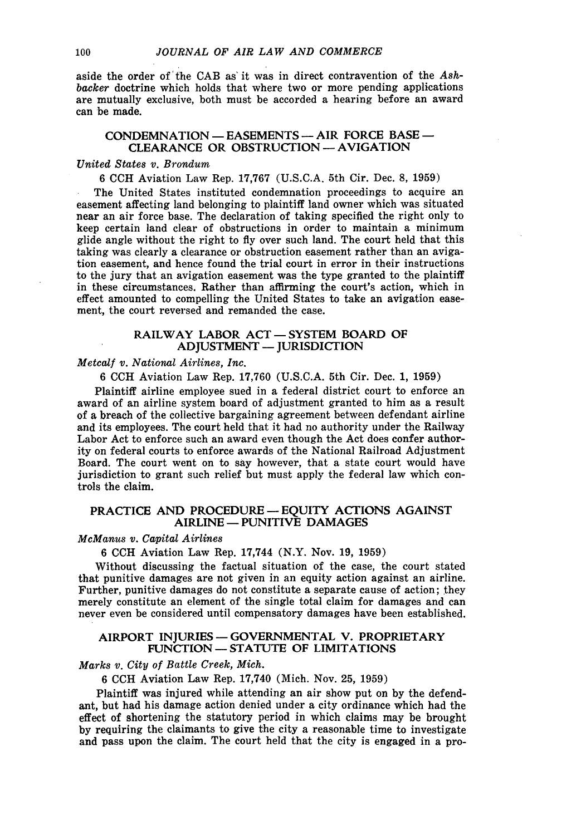aside the order **of'** the **CAB** as' it was in direct contravention of the *Ashbacker* doctrine which holds that where two or more pending applications are mutually exclusive, both must be accorded a hearing before an award can be made.

#### **CONDEMNATION - EASEMENTS -** AIR **FORCE BASE - CLEARANCE OR** OBSTRUCTION -AVIGATION

#### *United States v. Brondum*

6 CCH Aviation Law Rep. 17,767 (U.S.C.A. 5th Cir. Dec. 8, 1959)

The United States instituted condemnation proceedings to acquire an easement affecting land belonging to plaintiff land owner which was situated near an air force base. The declaration of taking specified the right only to keep certain land clear of obstructions in order to maintain a minimum glide angle without the right to fly over such land. The court held that this taking was clearly a clearance or obstruction easement rather than an avigation easement, and hence found the trial court in error in their instructions to the jury that an avigation easement was the type granted to the plaintiff in these circumstances. Rather than affirming the court's action, which in effect amounted to compelling the United States to take an avigation easement, the court reversed and remanded the case.

# **RAILWAY LABOR ACT - SYSTEM BOARD OF ADJUSTMENT - JURISDICTION**

# *Metcalf v. National Airlines, Inc.*

6 CCH Aviation Law Rep. 17,760 (U.S.C.A. 5th Cir. Dec. 1, 1959)

Plaintiff airline employee sued in a federal district court to enforce an award of an airline system board of adjustment granted to him as a result of a breach of the collective bargaining agreement between defendant airline and its employees. The court held that it had no authority under the Railway Labor Act to enforce such an award even though the Act does confer authority on federal courts to enforce awards of the National Railroad Adjustment Board. The court went on to say however, that a state court would have jurisdiction to grant such relief but must apply the federal law which controls the claim.

# **PRACTICE AND PROCEDURE - EQUITY ACTIONS AGAINST AIRLINE - PUNITIVE DAMAGES**

# *McManus v. Capital Airlines*

6 **CCH** Aviation Law Rep. 17,744 (N.Y. Nov. 19, 1959)

Without discussing the factual situation of the case, the court stated that punitive damages are not given in an equity action against an airline. Further, punitive damages do not constitute a separate cause of action; they merely constitute an element of the single total claim for damages and can never even be considered until compensatory damages have been established.

## **AIRPORT INJURIES -GOVERNMENTAL V. PROPRIETARY FUNCTION -STATUTE OF** LIMITATIONS

#### *Marks v. City of Battle Creek, Mich.*

6 CCH Aviation Law Rep. 17,740 (Mich. Nov. 25, 1959)

Plaintiff was injured while attending an air show put on by the defendant, but had his damage action denied under a city ordinance which had the effect of shortening the statutory period in which claims may be brought by requiring the claimants to give the city a reasonable time to investigate and pass upon the claim. The court held that the city is engaged in a pro